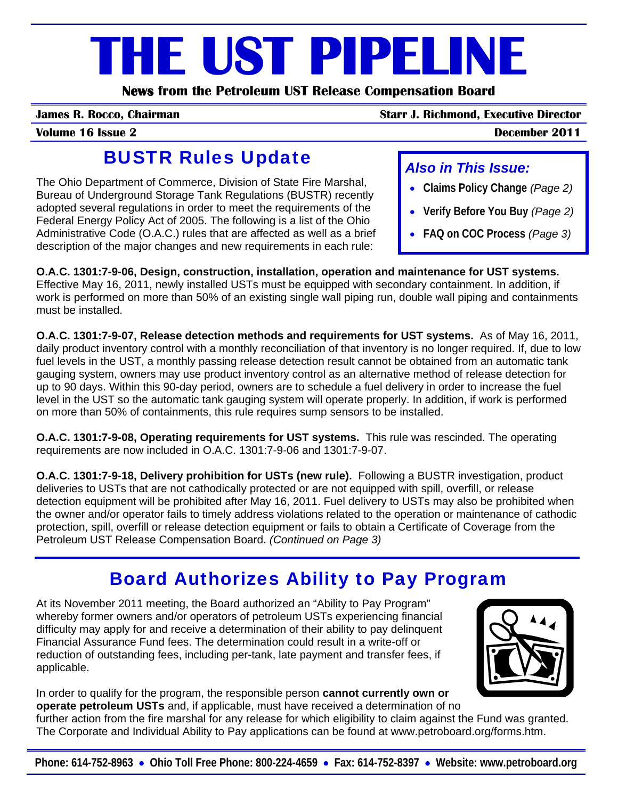# **THE UST PIPELINE**

**News from the Petroleum UST Release Compensation Board** 

**James R. Rocco, Chairman Starr J. Richmond, Executive Director**

• **Claims Policy Change** *(Page 2)*

• **Verify Before You Buy** *(Page 2)*

• **FAQ on COC Process** *(Page 3)*

*Also in This Issue:* 

## BUSTR Rules Update

The Ohio Department of Commerce, Division of State Fire Marshal, Bureau of Underground Storage Tank Regulations (BUSTR) recently adopted several regulations in order to meet the requirements of the Federal Energy Policy Act of 2005. The following is a list of the Ohio Administrative Code (O.A.C.) rules that are affected as well as a brief description of the major changes and new requirements in each rule:

**O.A.C. 1301:7-9-06, Design, construction, installation, operation and maintenance for UST systems.** Effective May 16, 2011, newly installed USTs must be equipped with secondary containment. In addition, if work is performed on more than 50% of an existing single wall piping run, double wall piping and containments must be installed.

**O.A.C. 1301:7-9-07, Release detection methods and requirements for UST systems.** As of May 16, 2011, daily product inventory control with a monthly reconciliation of that inventory is no longer required. If, due to low fuel levels in the UST, a monthly passing release detection result cannot be obtained from an automatic tank gauging system, owners may use product inventory control as an alternative method of release detection for up to 90 days. Within this 90-day period, owners are to schedule a fuel delivery in order to increase the fuel level in the UST so the automatic tank gauging system will operate properly. In addition, if work is performed on more than 50% of containments, this rule requires sump sensors to be installed.

**O.A.C. 1301:7-9-08, Operating requirements for UST systems.** This rule was rescinded. The operating requirements are now included in O.A.C. 1301:7-9-06 and 1301:7-9-07.

**O.A.C. 1301:7-9-18, Delivery prohibition for USTs (new rule).** Following a BUSTR investigation, product deliveries to USTs that are not cathodically protected or are not equipped with spill, overfill, or release detection equipment will be prohibited after May 16, 2011. Fuel delivery to USTs may also be prohibited when the owner and/or operator fails to timely address violations related to the operation or maintenance of cathodic protection, spill, overfill or release detection equipment or fails to obtain a Certificate of Coverage from the Petroleum UST Release Compensation Board. *(Continued on Page 3)*

# Board Authorizes Ability to Pay Program

At its November 2011 meeting, the Board authorized an "Ability to Pay Program" whereby former owners and/or operators of petroleum USTs experiencing financial difficulty may apply for and receive a determination of their ability to pay delinquent Financial Assurance Fund fees. The determination could result in a write-off or reduction of outstanding fees, including per-tank, late payment and transfer fees, if applicable.



In order to qualify for the program, the responsible person **cannot currently own or operate petroleum USTs** and, if applicable, must have received a determination of no further action from the fire marshal for any release for which eligibility to claim against the Fund was granted. The Corporate and Individual Ability to Pay applications can be found at www.petroboard.org/forms.htm.

### **Volume 16 Issue 2 December 2011**

**Phone: 614-752-8963** • **Ohio Toll Free Phone: 800-224-4659** • **Fax: 614-752-8397** • **Website: www.petroboard.org**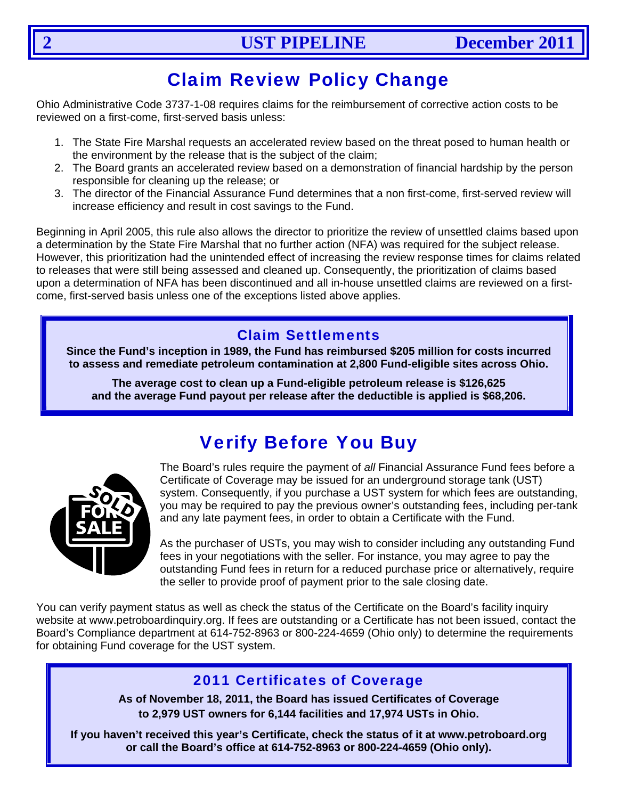# Claim Review Policy Change

Ohio Administrative Code 3737-1-08 requires claims for the reimbursement of corrective action costs to be reviewed on a first-come, first-served basis unless:

- 1. The State Fire Marshal requests an accelerated review based on the threat posed to human health or the environment by the release that is the subject of the claim;
- 2. The Board grants an accelerated review based on a demonstration of financial hardship by the person responsible for cleaning up the release; or
- 3. The director of the Financial Assurance Fund determines that a non first-come, first-served review will increase efficiency and result in cost savings to the Fund.

Beginning in April 2005, this rule also allows the director to prioritize the review of unsettled claims based upon a determination by the State Fire Marshal that no further action (NFA) was required for the subject release. However, this prioritization had the unintended effect of increasing the review response times for claims related to releases that were still being assessed and cleaned up. Consequently, the prioritization of claims based upon a determination of NFA has been discontinued and all in-house unsettled claims are reviewed on a firstcome, first-served basis unless one of the exceptions listed above applies.

### Claim Settlements

**Since the Fund's inception in 1989, the Fund has reimbursed \$205 million for costs incurred to assess and remediate petroleum contamination at 2,800 Fund-eligible sites across Ohio.** 

**The average cost to clean up a Fund-eligible petroleum release is \$126,625 and the average Fund payout per release after the deductible is applied is \$68,206.** 

# Verify Before You Buy



The Board's rules require the payment of *all* Financial Assurance Fund fees before a Certificate of Coverage may be issued for an underground storage tank (UST) system. Consequently, if you purchase a UST system for which fees are outstanding, you may be required to pay the previous owner's outstanding fees, including per-tank and any late payment fees, in order to obtain a Certificate with the Fund.

As the purchaser of USTs, you may wish to consider including any outstanding Fund fees in your negotiations with the seller. For instance, you may agree to pay the outstanding Fund fees in return for a reduced purchase price or alternatively, require the seller to provide proof of payment prior to the sale closing date.

You can verify payment status as well as check the status of the Certificate on the Board's facility inquiry website at www.petroboardinquiry.org. If fees are outstanding or a Certificate has not been issued, contact the Board's Compliance department at 614-752-8963 or 800-224-4659 (Ohio only) to determine the requirements for obtaining Fund coverage for the UST system.

### 2011 Certificates of Coverage

**As of November 18, 2011, the Board has issued Certificates of Coverage to 2,979 UST owners for 6,144 facilities and 17,974 USTs in Ohio.** 

**If you haven't received this year's Certificate, check the status of it at www.petroboard.org or call the Board's office at 614-752-8963 or 800-224-4659 (Ohio only).**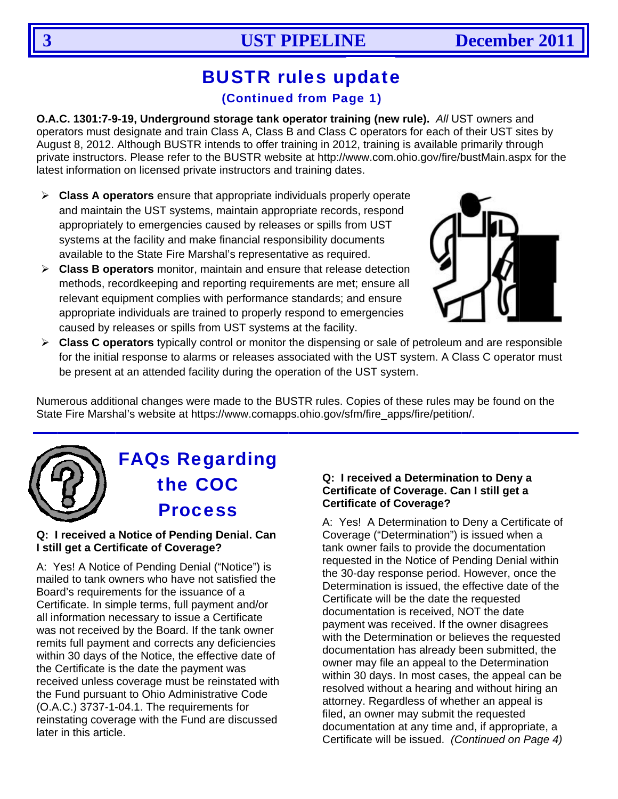# **BUSTR rules update**

### (Continued from Page 1)

O.A.C. 1301:7-9-19, Underground storage tank operator training (new rule). All UST owners and operators must designate and train Class A, Class B and Class C operators for each of their UST sites by August 8, 2012. Although BUSTR intends to offer training in 2012, training is available primarily through private instructors. Please refer to the BUSTR website at http://www.com.ohio.gov/fire/bustMain.aspx for the latest information on licensed private instructors and training dates.

- $\triangleright$  Class A operators ensure that appropriate individuals properly operate and maintain the UST systems, maintain appropriate records, respond appropriately to emergencies caused by releases or spills from UST systems at the facility and make financial responsibility documents available to the State Fire Marshal's representative as required.
- $\triangleright$  Class B operators monitor, maintain and ensure that release detection methods, recordkeeping and reporting requirements are met; ensure all relevant equipment complies with performance standards; and ensure appropriate individuals are trained to properly respond to emergencies caused by releases or spills from UST systems at the facility.



> Class C operators typically control or monitor the dispensing or sale of petroleum and are responsible for the initial response to alarms or releases associated with the UST system. A Class C operator must be present at an attended facility during the operation of the UST system.

Numerous additional changes were made to the BUSTR rules. Copies of these rules may be found on the State Fire Marshal's website at https://www.comapps.ohio.gov/sfm/fire\_apps/fire/petition/.



# **FAQs Regarding** the COC **Process**

### Q: I received a Notice of Pending Denial. Can I still get a Certificate of Coverage?

A: Yes! A Notice of Pending Denial ("Notice") is mailed to tank owners who have not satisfied the Board's requirements for the issuance of a Certificate. In simple terms, full payment and/or all information necessary to issue a Certificate was not received by the Board. If the tank owner remits full payment and corrects any deficiencies within 30 days of the Notice, the effective date of the Certificate is the date the payment was received unless coverage must be reinstated with the Fund pursuant to Ohio Administrative Code (O.A.C.) 3737-1-04.1. The requirements for reinstating coverage with the Fund are discussed later in this article.

### Q: I received a Determination to Deny a Certificate of Coverage. Can I still get a **Certificate of Coverage?**

A: Yes! A Determination to Deny a Certificate of Coverage ("Determination") is issued when a tank owner fails to provide the documentation requested in the Notice of Pending Denial within the 30-day response period. However, once the Determination is issued, the effective date of the Certificate will be the date the requested documentation is received. NOT the date payment was received. If the owner disagrees with the Determination or believes the requested documentation has already been submitted, the owner may file an appeal to the Determination within 30 days. In most cases, the appeal can be resolved without a hearing and without hiring an attorney. Regardless of whether an appeal is filed, an owner may submit the requested documentation at any time and, if appropriate, a Certificate will be issued. (Continued on Page 4)